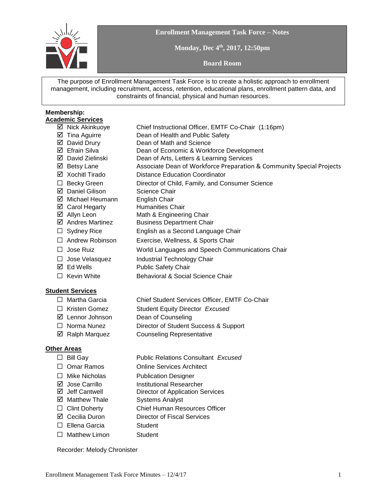

**Enrollment Management Task Force – Notes**

**Monday, Dec 4th, 2017, 12:50pm**

**Board Room**

The purpose of Enrollment Management Task Force is to create a holistic approach to enrollment management, including recruitment, access, retention, educational plans, enrollment pattern data, and constraints of financial, physical and human resources.

#### **Membership: Academic Services**

 $\boxtimes$  Nick Akinkuoye Chief Instructional Officer, EMTF Co-Chair (1:16pm) Tina Aguirre Dean of Health and Public Safety David Drury Dean of Math and Science Efrain Silva Dean of Economic & Workforce Development David Zielinski Dean of Arts, Letters & Learning Services  $\boxtimes$  Betsy Lane Associate Dean of Workforce Preparation & Community Special Projects Xochitl Tirado Distance Education Coordinator ☐ Becky Green Director of Child, Family, and Consumer Science **Ø** Daniel Gilison Science Chair  $\boxtimes$  Michael Heumann English Chair  $\boxtimes$  Carol Hegarty Humanities Chair ■ Allyn Leon Math & Engineering Chair  $\overline{A}$  Andres Martinez Business Department Chair ☐ Sydney Rice English as a Second Language Chair ☐ Andrew Robinson Exercise, Wellness, & Sports Chair ☐ Jose Ruiz World Languages and Speech Communications Chair □ Jose Velasquez Industrial Technology Chair  $\boxtimes$  Ed Wells Public Safety Chair ☐ Kevin White Behavioral & Social Science Chair

#### **Student Services**

- ☐ Martha Garcia Chief Student Services Officer, EMTF Co-Chair
- ☐ Kristen Gomez Student Equity Director *Excused*
- Lennor Johnson Dean of Counseling
- ☐ Norma Nunez Director of Student Success & Support
- **Ø** Ralph Marquez **Counseling Representative**

#### **Other Areas**

- ☐ Bill Gay Public Relations Consultant *Excused*
- ☐ Omar Ramos Online Services Architect
- ☐ Mike Nicholas Publication Designer
- $\boxtimes$  Jose Carrillo Institutional Researcher
- $\boxtimes$  Jeff Cantwell Director of Application Services
- Matthew Thale Systems Analyst
- ☐ Clint Doherty Chief Human Resources Officer
- Cecilia Duron Director of Fiscal Services
- □ Ellena Garcia Student
- □ Matthew Limon Student

Recorder: Melody Chronister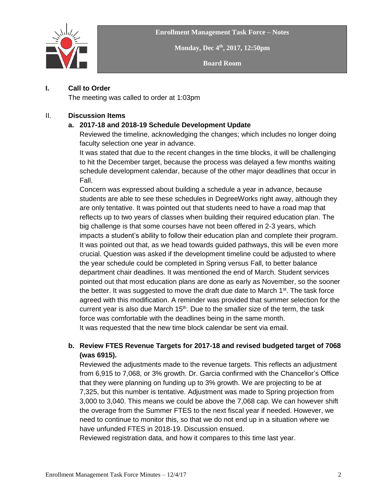



**Monday, Dec 4th, 2017, 12:50pm**

**Board Room**

#### **I. Call to Order**

The meeting was called to order at 1:03pm

#### II. **Discussion Items**

## **a. 2017-18 and 2018-19 Schedule Development Update**

Reviewed the timeline, acknowledging the changes; which includes no longer doing faculty selection one year in advance.

It was stated that due to the recent changes in the time blocks, it will be challenging to hit the December target, because the process was delayed a few months waiting schedule development calendar, because of the other major deadlines that occur in Fall.

Concern was expressed about building a schedule a year in advance, because students are able to see these schedules in DegreeWorks right away, although they are only tentative. It was pointed out that students need to have a road map that reflects up to two years of classes when building their required education plan. The big challenge is that some courses have not been offered in 2-3 years, which impacts a student's ability to follow their education plan and complete their program. It was pointed out that, as we head towards guided pathways, this will be even more crucial. Question was asked if the development timeline could be adjusted to where the year schedule could be completed in Spring versus Fall, to better balance department chair deadlines. It was mentioned the end of March. Student services pointed out that most education plans are done as early as November, so the sooner the better. It was suggested to move the draft due date to March 1<sup>st</sup>. The task force agreed with this modification. A reminder was provided that summer selection for the current year is also due March 15<sup>th</sup>. Due to the smaller size of the term, the task force was comfortable with the deadlines being in the same month. It was requested that the new time block calendar be sent via email.

## **b. Review FTES Revenue Targets for 2017-18 and revised budgeted target of 7068 (was 6915).**

Reviewed the adjustments made to the revenue targets. This reflects an adjustment from 6,915 to 7,068, or 3% growth. Dr. Garcia confirmed with the Chancellor's Office that they were planning on funding up to 3% growth. We are projecting to be at 7,325, but this number is tentative. Adjustment was made to Spring projection from 3,000 to 3,040. This means we could be above the 7,068 cap. We can however shift the overage from the Summer FTES to the next fiscal year if needed. However, we need to continue to monitor this, so that we do not end up in a situation where we have unfunded FTES in 2018-19. Discussion ensued.

Reviewed registration data, and how it compares to this time last year.